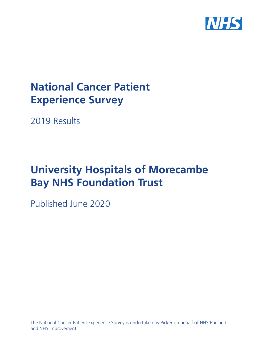

# **National Cancer Patient Experience Survey**

2019 Results

# **University Hospitals of Morecambe Bay NHS Foundation Trust**

Published June 2020

The National Cancer Patient Experience Survey is undertaken by Picker on behalf of NHS England and NHS Improvement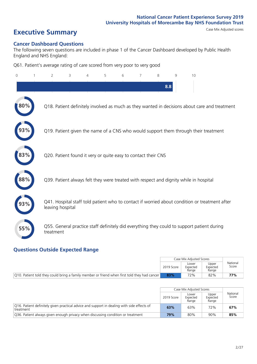# **Executive Summary** Case Mix Adjusted scores

### **Cancer Dashboard Questions**

The following seven questions are included in phase 1 of the Cancer Dashboard developed by Public Health England and NHS England:

Q61. Patient's average rating of care scored from very poor to very good

| $\Omega$ | $\overline{2}$                                                | 3 | $\overline{4}$ | 5 | 6 | 7 | 8   | 9 | 10                                                                                            |
|----------|---------------------------------------------------------------|---|----------------|---|---|---|-----|---|-----------------------------------------------------------------------------------------------|
|          |                                                               |   |                |   |   |   | 8.8 |   |                                                                                               |
| 80%      |                                                               |   |                |   |   |   |     |   | Q18. Patient definitely involved as much as they wanted in decisions about care and treatment |
|          |                                                               |   |                |   |   |   |     |   | Q19. Patient given the name of a CNS who would support them through their treatment           |
| 83%      | Q20. Patient found it very or quite easy to contact their CNS |   |                |   |   |   |     |   |                                                                                               |
| 88%      |                                                               |   |                |   |   |   |     |   | Q39. Patient always felt they were treated with respect and dignity while in hospital         |
|          | leaving hospital                                              |   |                |   |   |   |     |   | Q41. Hospital staff told patient who to contact if worried about condition or treatment after |
| 55%      | treatment                                                     |   |                |   |   |   |     |   | Q55. General practice staff definitely did everything they could to support patient during    |

### **Questions Outside Expected Range**

|                                                                                               |            | Case Mix Adiusted Scores   |                            |                   |
|-----------------------------------------------------------------------------------------------|------------|----------------------------|----------------------------|-------------------|
|                                                                                               | 2019 Score | Lower<br>Expected<br>Range | Upper<br>Expected<br>Range | National<br>Score |
| [O10. Patient told they could bring a family member or friend when first told they had cancer | 83%        | 72%                        | 82%                        | 77%               |

|                                                                                                           |            | Case Mix Adjusted Scores   |                            |                   |
|-----------------------------------------------------------------------------------------------------------|------------|----------------------------|----------------------------|-------------------|
|                                                                                                           | 2019 Score | Lower<br>Expected<br>Range | Upper<br>Expected<br>Range | National<br>Score |
| 016. Patient definitely given practical advice and support in dealing with side effects of<br>I treatment | 63%        | 63%                        | 72%                        | 67%               |
| Q36. Patient always given enough privacy when discussing condition or treatment                           | 79%        | 80%                        | 90%                        | 85%               |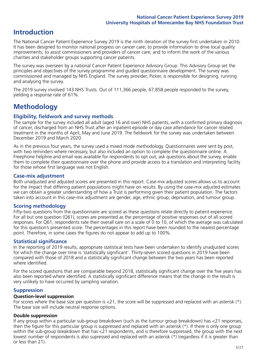### **Introduction**

The National Cancer Patient Experience Survey 2019 is the ninth iteration of the survey first undertaken in 2010. It has been designed to monitor national progress on cancer care; to provide information to drive local quality improvements; to assist commissioners and providers of cancer care; and to inform the work of the various charities and stakeholder groups supporting cancer patients.

The survey was overseen by a national Cancer Patient Experience Advisory Group. This Advisory Group set the principles and objectives of the survey programme and guided questionnaire development. The survey was commissioned and managed by NHS England. The survey provider, Picker, is responsible for designing, running and analysing the survey.

The 2019 survey involved 143 NHS Trusts. Out of 111,366 people, 67,858 people responded to the survey, yielding a response rate of 61%.

### **Methodology**

### **Eligibility, eldwork and survey methods**

The sample for the survey included all adult (aged 16 and over) NHS patients, with a confirmed primary diagnosis of cancer, discharged from an NHS Trust after an inpatient episode or day case attendance for cancer related treatment in the months of April, May and June 2019. The fieldwork for the survey was undertaken between December 2019 and March 2020.

As in the previous four years, the survey used a mixed mode methodology. Questionnaires were sent by post, with two reminders where necessary, but also included an option to complete the questionnaire online. A Freephone helpline and email was available for respondents to opt out, ask questions about the survey, enable them to complete their questionnaire over the phone and provide access to a translation and interpreting facility for those whose first language was not English.

### **Case-mix adjustment**

Both unadjusted and adjusted scores are presented in this report. Case-mix adjusted scores allows us to account for the impact that differing patient populations might have on results. By using the case-mix adjusted estimates we can obtain a greater understanding of how a Trust is performing given their patient population. The factors taken into account in this case-mix adjustment are gender, age, ethnic group, deprivation, and tumour group.

### **Scoring methodology**

Fifty-two questions from the questionnaire are scored as these questions relate directly to patient experience. For all but one question (Q61), scores are presented as the percentage of positive responses out of all scored responses. For Q61, respondents rate their overall care on a scale of 0 to 10, of which the average was calculated for this question's presented score. The percentages in this report have been rounded to the nearest percentage point. Therefore, in some cases the figures do not appear to add up to 100%.

### **Statistical significance**

In the reporting of 2019 results, appropriate statistical tests have been undertaken to identify unadjusted scores for which the change over time is 'statistically significant'. Thirty-seven scored questions in 2019 have been compared with those of 2018 and a statistically significant change between the two years has been reported where identified.

For the scored questions that are comparable beyond 2018, statistically significant change over the five years has also been reported where identified. A statistically significant difference means that the change in the result is very unlikely to have occurred by sampling variation.

### **Suppression**

### **Question-level suppression**

For scores where the base size per question is  $<$ 21, the score will be suppressed and replaced with an asterisk (\*). The base size will include neutral response options.

### **Double suppression**

If any group within a particular sub-group breakdown (such as the tumour group breakdown) has <21 responses, then the figure for this particular group is suppressed and replaced with an asterisk (\*). If there is only one group within the sub-group breakdown that has <21 respondents, and is therefore suppressed, the group with the next lowest number of respondents is also supressed and replaced with an asterisk (\*) (regardless if it is greater than or less than 21).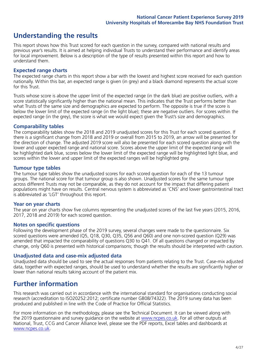### **Understanding the results**

This report shows how this Trust scored for each question in the survey, compared with national results and previous year's results. It is aimed at helping individual Trusts to understand their performance and identify areas for local improvement. Below is a description of the type of results presented within this report and how to understand them.

### **Expected range charts**

The expected range charts in this report show a bar with the lowest and highest score received for each question nationally. Within this bar, an expected range is given (in grey) and a black diamond represents the actual score for this Trust.

Trusts whose score is above the upper limit of the expected range (in the dark blue) are positive outliers, with a score statistically significantly higher than the national mean. This indicates that the Trust performs better than what Trusts of the same size and demographics are expected to perform. The opposite is true if the score is below the lower limit of the expected range (in the light blue); these are negative outliers. For scores within the expected range (in the grey), the score is what we would expect given the Trust's size and demographics.

### **Comparability tables**

The comparability tables show the 2018 and 2019 unadjusted scores for this Trust for each scored question. If there is a significant change from 2018 and 2019 or overall from 2015 to 2019, an arrow will be presented for the direction of change. The adjusted 2019 score will also be presented for each scored question along with the lower and upper expected range and national score. Scores above the upper limit of the expected range will be highlighted dark blue, scores below the lower limit of the expected range will be highlighted light blue, and scores within the lower and upper limit of the expected ranges will be highlighted grey.

### **Tumour type tables**

The tumour type tables show the unadjusted scores for each scored question for each of the 13 tumour groups. The national score for that tumour group is also shown. Unadjusted scores for the same tumour type across different Trusts may not be comparable, as they do not account for the impact that differing patient populations might have on results. Central nervous system is abbreviated as 'CNS' and lower gastrointestinal tract is abbreviated as 'LGT' throughout this report.

### **Year on year charts**

The year on year charts show five columns representing the unadjusted scores of the last five years (2015, 2016, 2017, 2018 and 2019) for each scored question.

#### **Notes on specific questions**

Following the development phase of the 2019 survey, several changes were made to the questionnaire. Six scored questions were amended (Q5, Q18, Q30, Q35, Q56 and Q60) and one non-scored question (Q29) was amended that impacted the comparability of questions Q30 to Q41. Of all questions changed or impacted by change, only Q60 is presented with historical comparisons; though the results should be interpreted with caution.

### **Unadjusted data and case-mix adjusted data**

Unadjusted data should be used to see the actual responses from patients relating to the Trust. Case-mix adjusted data, together with expected ranges, should be used to understand whether the results are significantly higher or lower than national results taking account of the patient mix.

### **Further information**

This research was carried out in accordance with the international standard for organisations conducting social research (accreditation to ISO20252:2012; certificate number GB08/74322). The 2019 survey data has been produced and published in line with the Code of Practice for Official Statistics.

For more information on the methodology, please see the Technical Document. It can be viewed along with the 2019 questionnaire and survey quidance on the website at [www.ncpes.co.uk](https://www.ncpes.co.uk/supporting-documents). For all other outputs at National, Trust, CCG and Cancer Alliance level, please see the PDF reports, Excel tables and dashboards at [www.ncpes.co.uk.](https://www.ncpes.co.uk/current-results)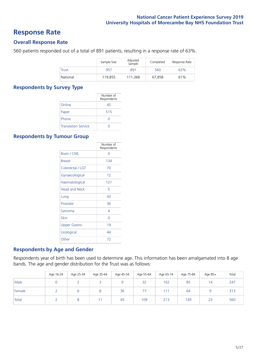### **Response Rate**

### **Overall Response Rate**

560 patients responded out of a total of 891 patients, resulting in a response rate of 63%.

|          | Sample Size | Adjusted<br>Sample | Completed | Response Rate |
|----------|-------------|--------------------|-----------|---------------|
| Trust    | 957         | 891                | 560       | 63%           |
| National | 119.855     | 111,366            | 67.858    | 61%           |

### **Respondents by Survey Type**

|                            | Number of<br>Respondents |
|----------------------------|--------------------------|
| Online                     | 45                       |
| Paper                      | 515                      |
| Phone                      | $\left( \right)$         |
| <b>Translation Service</b> |                          |

### **Respondents by Tumour Group**

|                      | Number of<br>Respondents |
|----------------------|--------------------------|
| Brain / CNS          | ∩                        |
| <b>Breast</b>        | 134                      |
| Colorectal / LGT     | 70                       |
| Gynaecological       | 12                       |
| Haematological       | 121                      |
| <b>Head and Neck</b> | 5                        |
| Lung                 | 43                       |
| Prostate             | 36                       |
| Sarcoma              | 4                        |
| Skin                 | U                        |
| <b>Upper Gastro</b>  | 19                       |
| Urological           | 44                       |
| Other                | 72                       |

### **Respondents by Age and Gender**

Respondents year of birth has been used to determine age. This information has been amalgamated into 8 age bands. The age and gender distribution for the Trust was as follows:

|        | Age 16-24 | Age 25-34 | Age 35-44 | Age 45-54 | Age 55-64 | Age 65-74 | Age 75-84 | Age 85+        | Total |
|--------|-----------|-----------|-----------|-----------|-----------|-----------|-----------|----------------|-------|
| Male   |           |           |           |           | 32        | 102       | 85        | $\overline{4}$ | 247   |
| Female |           |           | 8         | 36        | 77        | 111       | 64        |                | 313   |
| Total  |           |           |           | 45        | 109       | 213       | 149       | 23             | 560   |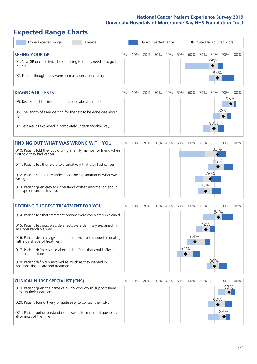# **Expected Range Charts**

| Lower Expected Range<br>Average                                                                                                                                                                                                                                                                                                                                                                                                                                                                                             |       |     | Upper Expected Range |     |     |            |            | Case Mix Adjusted Score |                          |            |          |
|-----------------------------------------------------------------------------------------------------------------------------------------------------------------------------------------------------------------------------------------------------------------------------------------------------------------------------------------------------------------------------------------------------------------------------------------------------------------------------------------------------------------------------|-------|-----|----------------------|-----|-----|------------|------------|-------------------------|--------------------------|------------|----------|
| <b>SEEING YOUR GP</b><br>Q1. Saw GP once or twice before being told they needed to go to<br>hospital<br>Q2. Patient thought they were seen as soon as necessary                                                                                                                                                                                                                                                                                                                                                             | $0\%$ | 10% | 20%                  | 30% | 40% | 50%        | 60%        | 70%                     | 80%<br>79%<br>83%        |            | 90% 100% |
| <b>DIAGNOSTIC TESTS</b><br>Q5. Received all the information needed about the test<br>Q6. The length of time waiting for the test to be done was about<br>right<br>Q7. Test results explained in completely understandable way                                                                                                                                                                                                                                                                                               | 0%    | 10% | 20%                  | 30% | 40% | 50%        | 60%        | 70%                     | 80%<br>80%               | 95%<br>88% | 90% 100% |
| <b>FINDING OUT WHAT WAS WRONG WITH YOU</b><br>Q10. Patient told they could bring a family member or friend when<br>first told they had cancer<br>Q11. Patient felt they were told sensitively that they had cancer<br>Q12. Patient completely understood the explanation of what was<br>wrong<br>Q13. Patient given easy to understand written information about<br>the type of cancer they had                                                                                                                             | 0%    | 10% | 20%                  | 30% | 40% | 50%        | 60%        | 70%<br>72%              | 80%<br>83%<br>83%<br>76% | 90%        | 100%     |
| <b>DECIDING THE BEST TREATMENT FOR YOU</b><br>Q14. Patient felt that treatment options were completely explained<br>Q15. Patient felt possible side effects were definitely explained in<br>an understandable way<br>Q16. Patient definitely given practical advice and support in dealing<br>with side effects of treatment<br>Q17. Patient definitely told about side effects that could affect<br>them in the future<br>Q18. Patient definitely involved as much as they wanted in<br>decisions about care and treatment | 0%    | 10% | 20%                  | 30% | 40% | 50%<br>54% | 60%<br>63% | 70%<br>72%              | 80%<br>84%<br>80%        |            | 90% 100% |
| <b>CLINICAL NURSE SPECIALIST (CNS)</b><br>Q19. Patient given the name of a CNS who would support them<br>through their treatment<br>Q20. Patient found it very or quite easy to contact their CNS<br>Q21. Patient got understandable answers to important questions<br>all or most of the time                                                                                                                                                                                                                              | 0%    | 10% | 20%                  | 30% | 40% | 50%        | 60%        | 70%                     | 80%<br>83%               | 93%<br>88% | 90% 100% |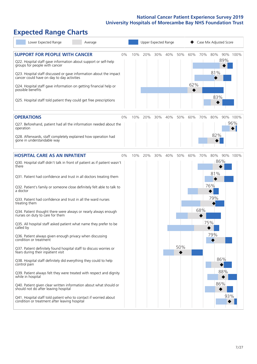# **Expected Range Charts**

| Lower Expected Range<br>Average                                                                                                                                                                                                                                                                                                                                                                                               |    |     | Upper Expected Range |     |     |     |            |     | Case Mix Adjusted Score |     |          |
|-------------------------------------------------------------------------------------------------------------------------------------------------------------------------------------------------------------------------------------------------------------------------------------------------------------------------------------------------------------------------------------------------------------------------------|----|-----|----------------------|-----|-----|-----|------------|-----|-------------------------|-----|----------|
| <b>SUPPORT FOR PEOPLE WITH CANCER</b><br>Q22. Hospital staff gave information about support or self-help<br>groups for people with cancer<br>Q23. Hospital staff discussed or gave information about the impact<br>cancer could have on day to day activities<br>Q24. Hospital staff gave information on getting financial help or<br>possible benefits<br>Q25. Hospital staff told patient they could get free prescriptions | 0% | 10% | 20%                  | 30% | 40% | 50% | 60%<br>62% | 70% | 80%<br>81%<br>83%       | 89% | 90% 100% |
| <b>OPERATIONS</b>                                                                                                                                                                                                                                                                                                                                                                                                             | 0% | 10% | 20%                  | 30% | 40% | 50% | 60%        | 70% | 80%                     |     | 90% 100% |
| Q27. Beforehand, patient had all the information needed about the<br>operation                                                                                                                                                                                                                                                                                                                                                |    |     |                      |     |     |     |            |     |                         |     | 96%      |
| Q28. Afterwards, staff completely explained how operation had<br>gone in understandable way                                                                                                                                                                                                                                                                                                                                   |    |     |                      |     |     |     |            |     | 82%                     |     |          |
| <b>HOSPITAL CARE AS AN INPATIENT</b>                                                                                                                                                                                                                                                                                                                                                                                          | 0% | 10% | 20%                  | 30% | 40% | 50% | 60%        | 70% | 80%                     |     | 90% 100% |
| Q30. Hospital staff didn't talk in front of patient as if patient wasn't<br>there                                                                                                                                                                                                                                                                                                                                             |    |     |                      |     |     |     |            |     | 86%                     |     |          |
| Q31. Patient had confidence and trust in all doctors treating them                                                                                                                                                                                                                                                                                                                                                            |    |     |                      |     |     |     |            |     | 81%                     |     |          |
| Q32. Patient's family or someone close definitely felt able to talk to<br>a doctor                                                                                                                                                                                                                                                                                                                                            |    |     |                      |     |     |     |            |     | 76%                     |     |          |
| Q33. Patient had confidence and trust in all the ward nurses<br>treating them                                                                                                                                                                                                                                                                                                                                                 |    |     |                      |     |     |     |            |     | 79%                     |     |          |
| Q34. Patient thought there were always or nearly always enough<br>nurses on duty to care for them                                                                                                                                                                                                                                                                                                                             |    |     |                      |     |     |     |            | 68% |                         |     |          |
| Q35. All hospital staff asked patient what name they prefer to be<br>called by                                                                                                                                                                                                                                                                                                                                                |    |     |                      |     |     |     |            |     | 75%                     |     |          |
| Q36. Patient always given enough privacy when discussing<br>condition or treatment                                                                                                                                                                                                                                                                                                                                            |    |     |                      |     |     |     |            |     | 79%                     |     |          |
| Q37. Patient definitely found hospital staff to discuss worries or<br>fears during their inpatient visit                                                                                                                                                                                                                                                                                                                      |    |     |                      |     |     | 50% |            |     |                         |     |          |
| Q38. Hospital staff definitely did everything they could to help<br>control pain                                                                                                                                                                                                                                                                                                                                              |    |     |                      |     |     |     |            |     | 86%                     |     |          |
| Q39. Patient always felt they were treated with respect and dignity<br>while in hospital                                                                                                                                                                                                                                                                                                                                      |    |     |                      |     |     |     |            |     |                         | 88% |          |
| Q40. Patient given clear written information about what should or<br>should not do after leaving hospital                                                                                                                                                                                                                                                                                                                     |    |     |                      |     |     |     |            |     | 86%                     |     |          |
| Q41. Hospital staff told patient who to contact if worried about<br>condition or treatment after leaving hospital                                                                                                                                                                                                                                                                                                             |    |     |                      |     |     |     |            |     |                         | 93% |          |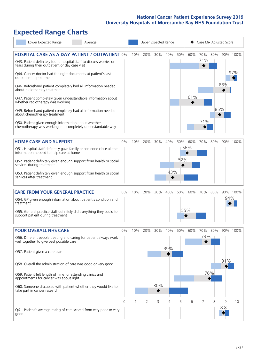# **Expected Range Charts**

| Lower Expected Range<br>Average                                                                                                                                                                     |       |     |     |     | Upper Expected Range |     |     | Case Mix Adjusted Score |     |     |                 |
|-----------------------------------------------------------------------------------------------------------------------------------------------------------------------------------------------------|-------|-----|-----|-----|----------------------|-----|-----|-------------------------|-----|-----|-----------------|
| <b>HOSPITAL CARE AS A DAY PATIENT / OUTPATIENT 0%</b><br>Q43. Patient definitely found hospital staff to discuss worries or<br>fears during their outpatient or day case visit                      |       | 10% | 20% | 30% | 40%                  | 50% | 60% | 70%<br>71%              | 80% |     | 90% 100%<br>97% |
| Q44. Cancer doctor had the right documents at patient's last<br>outpatient appointment<br>Q46. Beforehand patient completely had all information needed<br>about radiotherapy treatment             |       |     |     |     |                      |     | 61% |                         |     | 88% |                 |
| Q47. Patient completely given understandable information about<br>whether radiotherapy was working<br>Q49. Beforehand patient completely had all information needed<br>about chemotherapy treatment |       |     |     |     |                      |     |     |                         | 85% |     |                 |
| Q50. Patient given enough information about whether<br>chemotherapy was working in a completely understandable way                                                                                  |       |     |     |     |                      |     |     | 71%                     |     |     |                 |
| <b>HOME CARE AND SUPPORT</b>                                                                                                                                                                        | 0%    | 10% | 20% | 30% | 40%                  | 50% | 60% | 70%                     | 80% |     | 90% 100%        |
| Q51. Hospital staff definitely gave family or someone close all the<br>information needed to help care at home                                                                                      |       |     |     |     |                      |     | 56% |                         |     |     |                 |
| Q52. Patient definitely given enough support from health or social<br>services during treatment                                                                                                     |       |     |     |     |                      | 52% |     |                         |     |     |                 |
| Q53. Patient definitely given enough support from health or social<br>services after treatment                                                                                                      |       |     |     |     | 43%                  |     |     |                         |     |     |                 |
| <b>CARE FROM YOUR GENERAL PRACTICE</b>                                                                                                                                                              | 0%    | 10% | 20% | 30% | 40%                  | 50% | 60% | 70%                     | 80% |     | 90% 100%        |
| Q54. GP given enough information about patient's condition and<br>treatment                                                                                                                         |       |     |     |     |                      |     |     |                         |     | 94% |                 |
| Q55. General practice staff definitely did everything they could to<br>support patient during treatment                                                                                             |       |     |     |     |                      |     | 55% |                         |     |     |                 |
| <b>YOUR OVERALL NHS CARE</b>                                                                                                                                                                        | $0\%$ | 10% | 20% | 30% | 40%                  | 50% | 60% | 70%                     | 80% |     | 90% 100%        |
| Q56. Different people treating and caring for patient always work<br>well together to give best possible care                                                                                       |       |     |     |     |                      |     |     | 73%                     |     |     |                 |
| Q57. Patient given a care plan                                                                                                                                                                      |       |     |     |     | 39%                  |     |     |                         |     |     |                 |
| Q58. Overall the administration of care was good or very good                                                                                                                                       |       |     |     |     |                      |     |     |                         | 76% | 91% |                 |
| Q59. Patient felt length of time for attending clinics and<br>appointments for cancer was about right                                                                                               |       |     |     | 30% |                      |     |     |                         |     |     |                 |
| Q60. Someone discussed with patient whether they would like to<br>take part in cancer research                                                                                                      |       |     |     |     |                      |     |     |                         |     |     |                 |
|                                                                                                                                                                                                     | 0     |     | 2   | 3   | 4                    | 5   | 6   |                         | 8   | 9   | 10              |
| Q61. Patient's average rating of care scored from very poor to very<br>good                                                                                                                         |       |     |     |     |                      |     |     |                         |     | 8.8 |                 |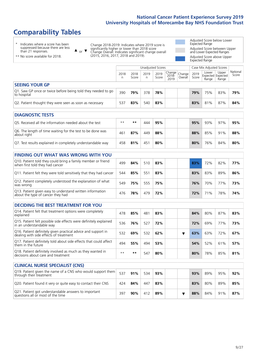# **Comparability Tables**

\* Indicates where a score has been suppressed because there are less than 21 responses.

\*\* No score available for 2018.

 $\triangle$  or  $\nabla$ 

Change 2018-2019: Indicates where 2019 score is significantly higher or lower than 2018 score Change Overall: Indicates significant change overall (2015, 2016, 2017, 2018 and 2019).

Adjusted Score below Lower Expected Range Adjusted Score between Upper and Lower Expected Ranges Adjusted Score above Upper Expected Range

|                                                                             | Case Mix Adjusted Scores<br>Unadjusted Scores |               |           |               |                                                    |         |               |                                     |                |                   |
|-----------------------------------------------------------------------------|-----------------------------------------------|---------------|-----------|---------------|----------------------------------------------------|---------|---------------|-------------------------------------|----------------|-------------------|
|                                                                             | 2018<br>n                                     | 2018<br>Score | 2019<br>n | 2019<br>Score | $\sim$   Change   Change   $\sim$<br>2018-<br>2019 | Overall | 2019<br>Score | Lower<br>Expected Expected<br>Range | Upper<br>Range | National<br>Score |
| <b>SEEING YOUR GP</b>                                                       |                                               |               |           |               |                                                    |         |               |                                     |                |                   |
| Q1. Saw GP once or twice before being told they needed to go<br>to hospital | 390                                           | 79%           | 378       | 78%           |                                                    |         | 79%           | 75%                                 | 83%            | 79%               |
| Q2. Patient thought they were seen as soon as necessary                     | 537                                           | 83%           | 540       | 83%           |                                                    |         | 83%           | 81%                                 | 87%            | 84%               |

| <b>DIAGNOSTIC TESTS</b>                                                   |                 |     |     |     |  |  |     |     |     |     |  |  |
|---------------------------------------------------------------------------|-----------------|-----|-----|-----|--|--|-----|-----|-----|-----|--|--|
| Q5. Received all the information needed about the test                    | $**$            | **  | 444 | 95% |  |  | 95% | 93% | 97% | 95% |  |  |
| Q6. The length of time waiting for the test to be done was<br>about right | 46 <sup>1</sup> | 87% | 449 | 88% |  |  | 88% | 85% | 91% | 88% |  |  |
| Q7. Test results explained in completely understandable way               | 458             | 81% | 451 | 80% |  |  | 80% | 76% | 84% | 80% |  |  |

| <b>FINDING OUT WHAT WAS WRONG WITH YOU</b>                                                      |     |     |     |     |     |     |     |     |
|-------------------------------------------------------------------------------------------------|-----|-----|-----|-----|-----|-----|-----|-----|
| Q10. Patient told they could bring a family member or friend<br>when first told they had cancer | 499 | 84% | 510 | 83% | 83% | 72% | 82% | 77% |
| Q11. Patient felt they were told sensitively that they had cancer                               | 544 | 85% | 551 | 83% | 83% | 83% | 89% | 86% |
| Q12. Patient completely understood the explanation of what<br>was wrong                         | 549 | 75% | 555 | 75% | 76% | 70% | 77% | 73% |
| Q13. Patient given easy to understand written information<br>about the type of cancer they had  | 476 | 78% | 479 | 72% | 72% | 71% | 78% | 74% |

| <b>DECIDING THE BEST TREATMENT FOR YOU</b>                                                              |      |     |     |     |  |     |     |     |     |
|---------------------------------------------------------------------------------------------------------|------|-----|-----|-----|--|-----|-----|-----|-----|
| Q14. Patient felt that treatment options were completely<br>explained                                   | 478  | 85% | 481 | 83% |  | 84% | 80% | 87% | 83% |
| Q15. Patient felt possible side effects were definitely explained<br>in an understandable way           | 536  | 76% | 527 | 72% |  | 72% | 69% | 77% | 73% |
| Q16. Patient definitely given practical advice and support in<br>dealing with side effects of treatment | 532  | 69% | 532 | 62% |  | 63% | 63% | 72% | 67% |
| Q17. Patient definitely told about side effects that could affect<br>them in the future                 | 494  | 55% | 494 | 53% |  | 54% | 52% | 61% | 57% |
| Q18. Patient definitely involved as much as they wanted in<br>decisions about care and treatment        | $**$ | **  | 547 | 80% |  | 80% | 78% | 85% | 81% |

| <b>CLINICAL NURSE SPECIALIST (CNS)</b>                                                    |     |     |     |     |  |     |     |     |     |
|-------------------------------------------------------------------------------------------|-----|-----|-----|-----|--|-----|-----|-----|-----|
| Q19. Patient given the name of a CNS who would support them<br>through their treatment    | 537 | 91% | 534 | 93% |  | 93% | 89% | 95% | 92% |
| Q20. Patient found it very or quite easy to contact their CNS                             | 424 | 84% | 447 | 83% |  | 83% | 80% | 89% | 85% |
| Q21. Patient got understandable answers to important<br>questions all or most of the time | 397 | 90% | 412 | 89% |  | 88% | 84% | 91% | 87% |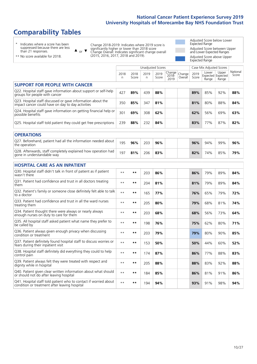### **Comparability Tables**

\* Indicates where a score has been suppressed because there are less than 21 responses.

\*\* No score available for 2018.

 $\triangle$  or  $\nabla$ 

Change 2018-2019: Indicates where 2019 score is significantly higher or lower than 2018 score Change Overall: Indicates significant change overall (2015, 2016, 2017, 2018 and 2019).

Adjusted Score below Lower Expected Range Adjusted Score between Upper and Lower Expected Ranges Adjusted Score above Upper Expected Range

|                                                                                                                   |           |               |            | <b>Unadjusted Scores</b> |                         |                   |               | Case Mix Adjusted Scores            |                |                   |
|-------------------------------------------------------------------------------------------------------------------|-----------|---------------|------------|--------------------------|-------------------------|-------------------|---------------|-------------------------------------|----------------|-------------------|
|                                                                                                                   | 2018<br>n | 2018<br>Score | 2019<br>n. | 2019<br>Score            | Change<br>2018-<br>2019 | Change<br>Overall | 2019<br>Score | Lower<br>Expected Expected<br>Range | Upper<br>Range | National<br>Score |
| <b>SUPPORT FOR PEOPLE WITH CANCER</b>                                                                             |           |               |            |                          |                         |                   |               |                                     |                |                   |
| Q22. Hospital staff gave information about support or self-help<br>groups for people with cancer                  | 427       | 89%           | 439        | 88%                      |                         |                   | 89%           | 85%                                 | 92%            | 88%               |
| Q23. Hospital staff discussed or gave information about the<br>impact cancer could have on day to day activities  | 350       | 85%           | 347        | 81%                      |                         |                   | 81%           | 80%                                 | 88%            | 84%               |
| Q24. Hospital staff gave information on getting financial help or<br>possible benefits                            | 301       | 69%           | 308        | 62%                      |                         |                   | 62%           | 56%                                 | 69%            | 63%               |
| Q25. Hospital staff told patient they could get free prescriptions                                                | 239       | 88%           | 232        | 84%                      |                         |                   | 83%           | 77%                                 | 87%            | 82%               |
| <b>OPERATIONS</b>                                                                                                 |           |               |            |                          |                         |                   |               |                                     |                |                   |
| Q27. Beforehand, patient had all the information needed about<br>the operation                                    | 195       | 96%           | 203        | 96%                      |                         |                   | 96%           | 94%                                 | 99%            | 96%               |
| Q28. Afterwards, staff completely explained how operation had<br>gone in understandable way                       | 197       | 81%           | 206        | 83%                      |                         |                   | 82%           | 74%                                 | 85%            | 79%               |
| <b>HOSPITAL CARE AS AN INPATIENT</b>                                                                              |           |               |            |                          |                         |                   |               |                                     |                |                   |
| Q30. Hospital staff didn't talk in front of patient as if patient<br>wasn't there                                 | $* *$     | $***$         | 203        | 86%                      |                         |                   | 86%           | 79%                                 | 89%            | 84%               |
| Q31. Patient had confidence and trust in all doctors treating<br>them                                             | $* *$     | $***$         | 204        | 81%                      |                         |                   | 81%           | 79%                                 | 89%            | 84%               |
| Q32. Patient's family or someone close definitely felt able to talk<br>to a doctor                                | $* *$     | $***$         | 165        | 77%                      |                         |                   | 76%           | 65%                                 | 79%            | 72%               |
| Q33. Patient had confidence and trust in all the ward nurses<br>treating them                                     | $* *$     | $***$         | 205        | 80%                      |                         |                   | 79%           | 68%                                 | 81%            | 74%               |
| Q34. Patient thought there were always or nearly always<br>enough nurses on duty to care for them                 | $* *$     | $***$         | 203        | 68%                      |                         |                   | 68%           | 56%                                 | 73%            | 64%               |
| Q35. All hospital staff asked patient what name they prefer to<br>be called by                                    | $**$      | $***$         | 198        | 76%                      |                         |                   | 75%           | 62%                                 | 80%            | 71%               |
| Q36. Patient always given enough privacy when discussing<br>condition or treatment                                | $* *$     | $***$         | 203        | 79%                      |                         |                   | 79%           | 80%                                 | 90%            | 85%               |
| Q37. Patient definitely found hospital staff to discuss worries or<br>fears during their inpatient visit          | $* *$     | $***$         | 153        | 50%                      |                         |                   | 50%           | 44%                                 | 60%            | 52%               |
| Q38. Hospital staff definitely did everything they could to help<br>control pain                                  | $* *$     | $***$         | 174        | 87%                      |                         |                   | 86%           | 77%                                 | 88%            | 83%               |
| Q39. Patient always felt they were treated with respect and<br>dignity while in hospital                          | $* *$     | $**$          | 205        | 88%                      |                         |                   | 88%           | 83%                                 | 92%            | 88%               |
| Q40. Patient given clear written information about what should<br>or should not do after leaving hospital         | $* *$     | $***$         | 184        | 85%                      |                         |                   | 86%           | 81%                                 | 91%            | 86%               |
| Q41. Hospital staff told patient who to contact if worried about<br>condition or treatment after leaving hospital | $**$      | $***$         | 194        | 94%                      |                         |                   | 93%           | 91%                                 | 98%            | 94%               |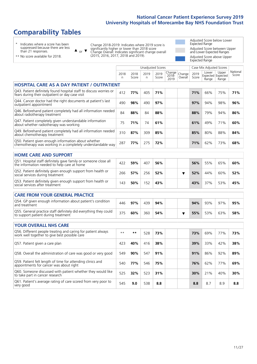### **Comparability Tables**

\* Indicates where a score has been suppressed because there are less than 21 responses.

\*\* No score available for 2018.

 $\triangle$  or  $\nabla$ 

Change 2018-2019: Indicates where 2019 score is significantly higher or lower than 2018 score Change Overall: Indicates significant change overall (2015, 2016, 2017, 2018 and 2019).

Adjusted Score below Lower Expected Range Adjusted Score between Upper and Lower Expected Ranges Adjusted Score above Upper Expected Range

|                                                                                                                       |              |               | <b>Unadjusted Scores</b> |               |                         |                   |               | Case Mix Adjusted Scores |                                     |                   |
|-----------------------------------------------------------------------------------------------------------------------|--------------|---------------|--------------------------|---------------|-------------------------|-------------------|---------------|--------------------------|-------------------------------------|-------------------|
|                                                                                                                       | 2018<br>n    | 2018<br>Score | 2019<br>n                | 2019<br>Score | Change<br>2018-<br>2019 | Change<br>Overall | 2019<br>Score | Lower<br>Range           | Upper<br>Expected Expected<br>Range | National<br>Score |
| <b>HOSPITAL CARE AS A DAY PATIENT / OUTPATIENT</b>                                                                    |              |               |                          |               |                         |                   |               |                          |                                     |                   |
| Q43. Patient definitely found hospital staff to discuss worries or<br>fears during their outpatient or day case visit | 412          | 77%           | 405                      | 71%           |                         |                   | 71%           | 66%                      | 75%                                 | 71%               |
| Q44. Cancer doctor had the right documents at patient's last<br>outpatient appointment                                | 490          | 98%           | 490                      | 97%           |                         |                   | 97%           | 94%                      | 98%                                 | 96%               |
| Q46. Beforehand patient completely had all information needed<br>about radiotherapy treatment                         | 84           | 88%           | 84                       | 88%           |                         |                   | 88%           | 79%                      | 94%                                 | 86%               |
| Q47. Patient completely given understandable information<br>about whether radiotherapy was working                    | 75           | 71%           | 74                       | 61%           |                         |                   | 61%           | 49%                      | 71%                                 | 60%               |
| Q49. Beforehand patient completely had all information needed<br>about chemotherapy treatment                         | 310          | 87%           | 309                      | 85%           |                         |                   | 85%           | 80%                      | 88%                                 | 84%               |
| Q50. Patient given enough information about whether<br>chemotherapy was working in a completely understandable way    | 287          | 77%           | 275                      | 72%           |                         |                   | 71%           | 62%                      | 73%                                 | 68%               |
| <b>HOME CARE AND SUPPORT</b>                                                                                          |              |               |                          |               |                         |                   |               |                          |                                     |                   |
| Q51. Hospital staff definitely gave family or someone close all<br>the information needed to help care at home        | 422          | 59%           | 407                      | 56%           |                         |                   | 56%           | 55%                      | 65%                                 | 60%               |
| Q52. Patient definitely given enough support from health or<br>social services during treatment                       | 266          | 57%           | 256                      | 52%           |                         | ▼                 | 52%           | 44%                      | 60%                                 | 52%               |
| Q53. Patient definitely given enough support from health or<br>social services after treatment                        | 143          | 50%           | 152                      | 43%           |                         |                   | 43%           | 37%                      | 53%                                 | 45%               |
| <b>CARE FROM YOUR GENERAL PRACTICE</b>                                                                                |              |               |                          |               |                         |                   |               |                          |                                     |                   |
| Q54. GP given enough information about patient's condition<br>and treatment                                           | 446          | 97%           | 439                      | 94%           |                         |                   | 94%           | 93%                      | 97%                                 | 95%               |
| Q55. General practice staff definitely did everything they could<br>to support patient during treatment               | 375          | 60%           | 360                      | 54%           |                         | ▼                 | 55%           | 53%                      | 63%                                 | 58%               |
| <b>YOUR OVERALL NHS CARE</b>                                                                                          |              |               |                          |               |                         |                   |               |                          |                                     |                   |
| Q56. Different people treating and caring for patient always                                                          |              |               |                          |               |                         |                   |               |                          |                                     |                   |
| work well together to give best possible care                                                                         | $\star\star$ | $***$         | 528                      | 73%           |                         |                   | 73%           | 69%                      | 77%                                 | 73%               |
| Q57. Patient given a care plan                                                                                        | 423          | 40%           | 416                      | 38%           |                         |                   | 39%           | 33%                      | 42%                                 | 38%               |
| Q58. Overall the administration of care was good or very good                                                         | 549          | 90%           | 547                      | 91%           |                         |                   | 91%           | 86%                      | 92%                                 | 89%               |
| Q59. Patient felt length of time for attending clinics and<br>appointments for cancer was about right                 | 540          | 77%           | 546                      | 75%           |                         |                   | 76%           | 62%                      | 77%                                 | 69%               |
| Q60. Someone discussed with patient whether they would like<br>to take part in cancer research                        | 525          | 32%           | 523                      | 31%           |                         |                   | 30%           | 21%                      | 40%                                 | 30%               |
| Q61. Patient's average rating of care scored from very poor to<br>very good                                           | 545          | 9.0           | 538                      | 8.8           |                         |                   | 8.8           | 8.7                      | 8.9                                 | 8.8               |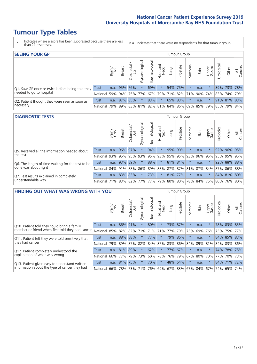# **Tumour Type Tables**

\* Indicates where a score has been suppressed because there are less than 21 responses.

n.a. Indicates that there were no respondents for that tumour group.

| <b>SEEING YOUR GP</b>                           |              |              |        |            |                |                |                                             |      | Tumour Group |         |      |                 |                      |             |                |
|-------------------------------------------------|--------------|--------------|--------|------------|----------------|----------------|---------------------------------------------|------|--------------|---------|------|-----------------|----------------------|-------------|----------------|
|                                                 |              | Brain<br>CNS | Breast | Colorectal | Gynaecological | Haematological | Head and<br>Neck                            | Lung | Prostate     | Sarcoma | Skin | Upper<br>Gastro | $\sigma$<br>rologica | Other       | All<br>Cancers |
| Q1. Saw GP once or twice before being told they | <b>Trust</b> | n.a.         |        | 95% 76%    | $\star$        | 69%            | $\star$                                     |      | 54% 75%      |         | n.a. | $\star$         |                      | 89% 73% 78% |                |
| needed to go to hospital                        | National     | 59%          |        |            | 94% 75% 77%    |                | 67% 79% 71% 82% 71% 90%                     |      |              |         |      |                 | 74% 83% 74% 79%      |             |                |
| Q2. Patient thought they were seen as soon as   | Trust        | n.a.         |        | 87% 85%    | $\star$        | 83%            | $\star$                                     |      | 65% 83%      |         | n.a. | $\star$         |                      | 91% 81% 83% |                |
| necessary                                       | National     | 79%          |        | 89% 83%    |                |                | 81% 82% 81% 84% 86% 69% 85% 79% 85% 79% 84% |      |              |         |      |                 |                      |             |                |

#### **DIAGNOSTIC TESTS** Tumour Group

|                                                   |                                                                  | Brain | <b>Breast</b> | Colorectal<br>LGT | त्त<br>Gynaecologic | Haematological | Head and<br>Neck | Lung | Prostate        | Sarcoma | Skin | Upper<br>Gastro | Jrological                                                      | Other       | All<br>Cancers |
|---------------------------------------------------|------------------------------------------------------------------|-------|---------------|-------------------|---------------------|----------------|------------------|------|-----------------|---------|------|-----------------|-----------------------------------------------------------------|-------------|----------------|
| Q5. Received all the information needed about     | <b>Trust</b>                                                     | n.a.  |               | 96% 97%           |                     | 94%            | $\star$          |      | 95% 90%         |         | n.a. |                 |                                                                 | 92% 96% 95% |                |
| the test                                          | National                                                         | 93%   | 95%           | 95%               | 93%                 |                |                  |      | 95% 93% 95% 95% | 93%     | 96%  | 95%             | 95%                                                             | 95%         | 95%            |
| Q6. The length of time waiting for the test to be | Trust                                                            | n.a.  |               | 93% 89%           |                     | 88%            | $\star$          |      | 81% 81%         |         | n.a. |                 |                                                                 | 92% 88% 88% |                |
| done was about right                              | National 84% 91% 88%                                             |       |               |                   |                     |                |                  |      |                 |         |      |                 | 86%   89%   88%   87%   87%   81%   87%   84%   87%   86%   88% |             |                |
| Q7. Test results explained in completely          | <b>Trust</b>                                                     | n.a.  |               | 83% 83%           |                     | 73%            | $\star$          |      | 81% 77%         |         | n.a. |                 |                                                                 | 84% 81% 80% |                |
| understandable way                                | National 71% 83% 82% 77% 77% 79% 80% 80% 78% 84% 75% 80% 76% 80% |       |               |                   |                     |                |                  |      |                 |         |      |                 |                                                                 |             |                |

| <b>FINDING OUT WHAT WAS WRONG WITH YOU</b>        |          |       |               |                   |                |                         |                  |         | <b>Tumour Group</b> |          |      |                 |                       |             |                |
|---------------------------------------------------|----------|-------|---------------|-------------------|----------------|-------------------------|------------------|---------|---------------------|----------|------|-----------------|-----------------------|-------------|----------------|
|                                                   |          | Brain | <b>Breast</b> | Colorectal<br>LGT | Gynaecological | Haematological          | Head and<br>Neck | Lung    | Prostate            | Sarcoma  | Skin | Upper<br>Gastro | Jrologica             | Other       | All<br>Cancers |
| Q10. Patient told they could bring a family       | Trust    | n.a.  | 86%           | 91%               | $\star$        | 80%                     | $\star$          |         | 73% 87%             | $\star$  | n.a. | $\star$         |                       | 78% 83% 83% |                |
| member or friend when first told they had cancer  | National | 85%   | 82% 82%       |                   | 71%            | 71%                     | 71%              | 77%     | 79%                 | 73%      | 69%  | 76%             | 73%                   | 75% 77%     |                |
| Q11. Patient felt they were told sensitively that | Trust    | n.a.  | 88%           | 88%               |                | 77%                     | $\star$          | 79%     | 86%                 | $\star$  | n.a. |                 |                       | 84% 85% 83% |                |
| they had cancer                                   | National | 79%   | 89%           | 87%               | 82%            |                         | 84% 87%          | 83% 86% |                     | 84%      | 89%  | 81%             |                       | 84% 83% 86% |                |
| Q12. Patient completely understood the            | Trust    | n.a.  | 81% 89%       |                   | $\star$        | 62%                     | $\star$          | 77%     | 67%                 |          | n.a. |                 |                       | 74% 78% 75% |                |
| explanation of what was wrong                     | National | 66%   | 77%           | 79%               | 73%            | 60%                     | 78%              |         | 76% 79%             | 67%      | 80%  | 70%             | 77%                   | 70%         | 73%            |
| Q13. Patient given easy to understand written     | Trust    | n.a.  | 81% 75%       |                   |                | 70%                     | $\star$          |         | 48% 64%             | $^\star$ | n.a. | $\star$         |                       | 84% 71%     | 72%            |
| information about the type of cancer they had     | National | 66%   |               | 78% 73%           |                | 71% 76% 69% 67% 83% 67% |                  |         |                     |          | 84%  |                 | 67%   74%   65%   74% |             |                |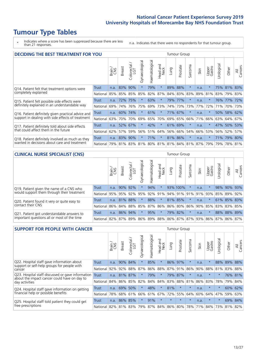# **Tumour Type Tables**

\* Indicates where a score has been suppressed because there are less than 21 responses.

n.a. Indicates that there were no respondents for that tumour group.

| <b>DECIDING THE BEST TREATMENT FOR YOU</b>         |          |       |               |                        |                |                |                        |      | Tumour Group |                         |      |                 |            |             |                |
|----------------------------------------------------|----------|-------|---------------|------------------------|----------------|----------------|------------------------|------|--------------|-------------------------|------|-----------------|------------|-------------|----------------|
|                                                    |          | Brain | <b>Breast</b> | olorectal.<br>LGT<br>Ũ | Gynaecological | Haematological | ad and<br>Neck<br>Head | Lung | Prostate     | Sarcoma                 | Skin | Upper<br>Gastro | Jrological | Other       | All<br>Cancers |
| Q14. Patient felt that treatment options were      | Trust    | n.a.  | 83%           | 90%                    | $\star$        | 79%            | $\star$                | 89%  | 88%          | $\star$                 | n.a. | $\star$         |            | 75% 81%     | 83%            |
| completely explained                               | National | 85%   | 85%           | 85%                    | 85%            | 82%            | 87%                    |      | 84% 83%      | 83%                     | 89%  | 81%             |            | 83% 79% 83% |                |
| Q15. Patient felt possible side effects were       | Trust    | n.a.  | 72%           | 75%                    |                | 63%            | $\star$                |      | 79% 77%      |                         | n.a. | $\star$         |            | 76% 77%     | 72%            |
| definitely explained in an understandable way      | National | 69%   | 74%           | 76%                    | 75%            | 69%            | 73%                    |      | 74% 73%      | 73%                     | 77%  | 72%             | 71%        | 70%         | 73%            |
| Q16. Patient definitely given practical advice and | Trust    | n.a.  | 60%           | 74%                    |                | 61%            | $\star$                |      | 71% 67%      |                         | n.a. | $^\star$        |            | 50% 58% 62% |                |
| support in dealing with side effects of treatment  | National | 63%   | 70%           | 70%                    | 69%            |                | 65% 70%                |      | 69% 65%      | 66%                     | 71%  | 66%             |            | 63% 64%     | 67%            |
| Q17. Patient definitely told about side effects    | Trust    | n.a.  | 52%           | 67%                    | $\star$        | 42%            | $\star$                |      | 61% 69%      | $\star$                 | n.a. | $\star$         | 47%        | 50%         | 53%            |
| that could affect them in the future               | National | 62%   | 57%           | 59%                    | 56%            | 51%            | 64%                    |      | 56% 66%      | 54%                     | 66%  | 53%             | 56%        | 52%         | 57%            |
| Q18. Patient definitely involved as much as they   | Trust    | n.a.  | 83%           | 90%                    | $\star$        | 71%            | $\star$                |      | 81% 86%      | 大                       | n.a. | $\star$         | 71%        | 79% 80%     |                |
| wanted in decisions about care and treatment       | National | 79%   |               | 81% 83% 81%            |                |                |                        |      |              | 80% 81% 81% 84% 81% 87% |      | 79%             |            | 79% 78% 81% |                |

#### **CLINICAL NURSE SPECIALIST (CNS)** Tumour Group

|                                             |          | Brain | <b>Breast</b>   | olorectal.<br>LGT<br>Ü | aecologica<br>Š | $\overline{\sigma}$<br>O<br>Haematologi | Head and<br>Neck | Lung        | Prostate | Sarcoma | Skin | Upper<br>Gastro                     | $\sigma$<br>rologica | Other       | All<br>ancers<br>Ü |
|---------------------------------------------|----------|-------|-----------------|------------------------|-----------------|-----------------------------------------|------------------|-------------|----------|---------|------|-------------------------------------|----------------------|-------------|--------------------|
| Q19. Patient given the name of a CNS who    | Trust    | n.a.  | $90\%$          | 92%                    |                 | 94%                                     | $\star$          |             | 93% 100% |         | n.a. |                                     |                      | 98% 90%     | 93%                |
| would support them through their treatment  | National |       | 95% 95% 92%     |                        | 95%             | 92%                                     | 91%              |             |          |         |      | 94% 91% 91% 91% 93%                 | 85%                  | 89%         | 92%                |
| Q20. Patient found it very or quite easy to | Trust    | n.a.  | 81% 88%         |                        |                 | 88%                                     | $\star$          | 81% 85%     |          | $\star$ | n.a. |                                     |                      | 61% 85% 83% |                    |
| contact their CNS                           | National |       | 86% 84% 88% 85% |                        |                 | 87%                                     |                  | 86% 86% 80% |          | 86%     |      | 90% 85%                             |                      | 83% 83%     | 85%                |
| Q21. Patient got understandable answers to  | Trust    | n.a.  | 86%             | 94%                    |                 | 95%                                     | $\star$          |             | 79% 82%  | $\star$ | n.a. |                                     |                      | 88% 88%     | 89%                |
| important questions all or most of the time | National |       | 82% 87% 89% 86% |                        |                 |                                         |                  |             |          |         |      | 89% 88% 86% 87% 87% 93% 86% 87% 86% |                      |             | 87%                |

| <b>SUPPORT FOR PEOPLE WITH CANCER</b>                                                             |              |       |               |                                 |                |                |                        |         | Tumour Group |                  |      |                 |            |       |                |
|---------------------------------------------------------------------------------------------------|--------------|-------|---------------|---------------------------------|----------------|----------------|------------------------|---------|--------------|------------------|------|-----------------|------------|-------|----------------|
|                                                                                                   |              | Brain | <b>Breast</b> | ∽<br>olorectal<br>LGT<br>$\cup$ | Gynaecological | Haematological | ad and<br>Neck<br>Head | Lung    | Prostate     | arcoma<br>$\sim$ | Skin | Upper<br>Gastro | Jrological | Other | All<br>Cancers |
| Q22. Hospital staff gave information about<br>support or self-help groups for people with         | <b>Trust</b> | n.a.  | 90%           | 84%                             | $\star$        | 85%            | $\star$                |         | 86% 97%      | $\star$          | n.a. | $\star$         | 88%        | 89%   | 88%            |
| cancer                                                                                            | National     | 92%   | 92%           | 88%                             | 87%            | 86%            | 88%                    |         | 87% 91%      | 86%              | 90%  | 88%             | 81%        | 83%   | 88%            |
| Q23. Hospital staff discussed or gave information<br>about the impact cancer could have on day to | Trust        | n.a.  | 81%           | 87%                             | $\star$        | 79%            | $\star$                | 79%     | 87%          |                  | n.a. | $\star$         | $\star$    |       | 76% 81%        |
| day activities                                                                                    | National     | 84%   |               | 86% 85%                         | 82%            | 84%            | 84%                    |         | 83% 88%      | 81%              | 86%  | 83%             | 78%        | 79%   | 84%            |
| Q24. Hospital staff gave information on getting                                                   | Trust        | n.a.  | 69%           | 50%                             | $\star$        | 48%            | $\star$                | 81%     | $\star$      | $\star$          | n.a. | $\star$         | $^\star$   | 60%   | 62%            |
| financial help or possible benefits                                                               | National     | 78%   |               | 68% 61%                         | 66%            | 61%            | 67%                    |         | 72% 55%      | 64%              | 60%  | 64%             | 47%        | 59%   | 63%            |
| Q25. Hospital staff told patient they could get                                                   | Trust        | n.a.  | 86%           | 85%                             | $\star$        | 91%            | $\star$                | $\star$ | $\star$      | $\star$          | n.a. | $\star$         | $\star$    | 69%   | 84%            |
| free prescriptions                                                                                | National     | 82%   | 81%           | 83%                             | 79%            | 87%            | 84%                    |         | 86% 80%      | 78%              | 71%  | 84%             | 73%        | 81%   | 82%            |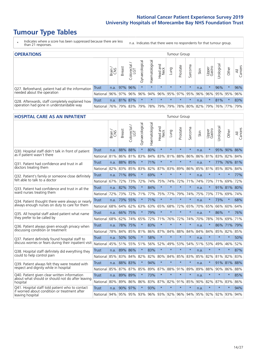# **Tumour Type Tables**

- \* Indicates where a score has been suppressed because there are less than 21 responses.
- n.a. Indicates that there were no respondents for that tumour group.

| <b>OPERATIONS</b>                                |          |              |               |                   |                     |                    |                  |                     | Tumour Group |         |      |                 |                             |        |                |
|--------------------------------------------------|----------|--------------|---------------|-------------------|---------------------|--------------------|------------------|---------------------|--------------|---------|------|-----------------|-----------------------------|--------|----------------|
|                                                  |          | Brain<br>CNS | <b>Breast</b> | Colorectal<br>LGT | त्त<br>Gynaecologic | శ్ర<br>Haematologi | Head and<br>Neck | Lung                | Prostate     | Sarcoma | Skin | Upper<br>Gastro | Irological                  | Other  | All<br>Cancers |
| Q27. Beforehand, patient had all the information | Trust    | n.a.         | 97% 96%       |                   | $\star$             | $\star$            | $\star$          | $\star$             | $\star$      | $\star$ | n.a. | $\star$         | 96%                         |        | 96%            |
| needed about the operation                       | National |              |               | 96% 97% 96%       | 96%                 |                    |                  | 94% 96% 95% 97% 95% |              |         |      |                 | 96% 96% 95% 95%             |        | 96%            |
| Q28. Afterwards, staff completely explained how  | Trust    |              | n.a. 81% 87%  |                   | $\star$             | $\star$            | $\star$          | $\star$             | $\star$      | $\star$ | n.a. |                 | 81%                         | $\ast$ | 83%            |
| operation had gone in understandable way         | National | 76%          |               | 79% 83%           | 79%                 |                    |                  | 78% 79% 79% 78%     |              |         |      |                 | 80%   82%   79%   76%   77% |        | 79%            |

#### **HOSPITAL CARE AS AN INPATIENT** Tumour Group

|                                                                                                  |              | Brain | Breast   | $\overline{\phantom{0}}$<br>Colorectal /<br>LGT | Gynaecological | Haematological | Head and<br>Neck | Lung        | Prostate | Sarcoma                                 | Skin | Upper<br>Gastro | Urological | Other       | All<br>Cancers |
|--------------------------------------------------------------------------------------------------|--------------|-------|----------|-------------------------------------------------|----------------|----------------|------------------|-------------|----------|-----------------------------------------|------|-----------------|------------|-------------|----------------|
| Q30. Hospital staff didn't talk in front of patient                                              | Trust        | n.a.  | 88%      | 88%                                             | $\star$        | 80%            | $\star$          | $\star$     | $\star$  | $\star$                                 | n.a. | $\star$         |            | 95% 90% 86% |                |
| as if patient wasn't there                                                                       | National     | 81%   | 86%      | 81%                                             | 83%            | 84%            | 83%              | 81%         | 88%      | 86%                                     | 86%  | 81%             | 83%        | 82%         | 84%            |
| 031. Patient had confidence and trust in all                                                     | <b>Trust</b> | n.a.  | 88% 85%  |                                                 |                | 71%            | $\star$          | $\star$     | $\star$  | $\star$                                 | n.a. |                 |            | 77% 76%     | 81%            |
| doctors treating them                                                                            | National     | 82%   | 83%      | 85%                                             | 83%            | 82%            |                  | 87% 83%     | 89%      | 86%                                     | 85%  | 81%             | 85%        | 80%         | 84%            |
| Q32. Patient's family or someone close definitely                                                | Trust        | n.a.  | 71%      | 89%                                             | $\star$        | 69%            | $\star$          | $\star$     | $\star$  | $\star$                                 | n.a. |                 | $\star$    | $\star$     | 77%            |
| felt able to talk to a doctor                                                                    | National     | 67%   | 72%      | 73%                                             | 72%            | 74%            |                  | 75% 74%     | 72%      | 71%                                     | 74%  | 73%             | 71%        | 69%         | 72%            |
| Q33. Patient had confidence and trust in all the                                                 | <b>Trust</b> | n.a.  | 82%      | 70%                                             | $\star$        | 84%            | $\star$          | $\star$     | $\star$  | $\star$                                 | n.a. |                 |            | 91% 81%     | 80%            |
| ward nurses treating them                                                                        | National     | 72%   | 73%      | 72%                                             | 71%            | 77%            |                  | 75% 77%     | 79%      | 74%                                     | 75%  | 73%             | 77%        | 69%         | 74%            |
| Q34. Patient thought there were always or nearly                                                 | Trust        | n.a.  | 73%      | 55%                                             | $\star$        | 71%            | $\star$          | $\star$     | $\star$  | $\star$                                 | n.a. | $\star$         | 73%        | $\star$     | 68%            |
| always enough nurses on duty to care for them                                                    | National     | 68%   | 64%      | 62%                                             | 63%            | 63%            | 65% 68%          |             | 72%      | 65%                                     | 70%  | 65%             | 66%        | 60%         | 64%            |
| Q35. All hospital staff asked patient what name                                                  | Trust        | n.a.  | 66% 75%  |                                                 | $\star$        | 79%            | $\star$          | $\star$     | $\star$  | $\star$                                 | n.a. | $\star$         | 86%        | $\star$     | 76%            |
| they prefer to be called by                                                                      | National     | 68%   | 62%      | 74%                                             | 65%            | 72%            | 71%              | 76%         | 72%      | 74%                                     | 70%  | 78%             | 76%        | 69%         | 71%            |
| Q36. Patient always given enough privacy when                                                    | Trust        | n.a.  | 78% 75%  |                                                 |                | 83%            | $\star$          | $\star$     | $\star$  | $\star$                                 | n.a. |                 | 86%        | 71%         | 79%            |
| discussing condition or treatment                                                                | National     | 78%   | 84% 85%  |                                                 | 81%            |                |                  | 86% 87% 84% | 88%      | 84%                                     | 84%  | 84%             | 85%        | 82%         | 85%            |
| Q37. Patient definitely found hospital staff to                                                  | <b>Trust</b> | n.a.  | 50%      | 50%                                             |                | 58%            | $\star$          | $\star$     | $\star$  | $\star$                                 | n.a. | $\star$         | $\star$    | $\star$     | 50%            |
| discuss worries or fears during their inpatient visit                                            | National     | 45%   | 51%      | 55%                                             | 51%            | 56%            | 52%              | 49%         | 53%      | 54%<br>$\star$<br>83%<br>$\star$<br>89% | 51%  | 53%             | 49%        | 46%         | 52%            |
| Q38. Hospital staff definitely did everything they                                               | <b>Trust</b> |       | n.a. 89% | 86%                                             | $\star$        | 83%            | $\star$          | $\star$     | $\star$  |                                         | n.a. | $\star$         | $\star$    | $\star$     | 87%            |
| could to help control pain                                                                       | National     | 85%   | 83%      | 84%                                             | 82%            |                |                  | 82% 80% 84% | 85%      |                                         |      | 85% 82%         | 81%        | 82%         | 83%            |
| Q39. Patient always felt they were treated with                                                  | <b>Trust</b> | n.a.  | 88% 83%  |                                                 | $\star$        | 94%            | $\star$          | $\star$     | $\star$  |                                         | n.a. | $\star$         |            | 91% 81%     | 88%            |
| respect and dignity while in hospital                                                            | National     | 85%   | 87%      | 87%                                             | 85%            | 89%            | 87%              | 88%         | 91%      |                                         | 89%  | 88%             | 90%        | 86%         | 88%            |
| Q40. Patient given clear written information<br>about what should or should not do after leaving | Trust        | n.a.  | 89%      | 89%                                             |                | 73%            | $\star$          | $\star$     | $\star$  | $\star$                                 | n.a. |                 | $\star$    | $\star$     | 85%            |
| hospital                                                                                         | National     | 80%   | 89%      | 86%                                             | 86%            | 83%            |                  | 87% 82%     | 91%      | 85%                                     | 90%  | 82%             | 87%        | 83%         | 86%            |
| Q41. Hospital staff told patient who to contact<br>if worried about condition or treatment after | <b>Trust</b> | n.a.  | 90%      | 97%                                             |                | 93%            | $\star$          | $\star$     | $\star$  | $\star$                                 | n.a. | $\star$         | $\star$    | $\star$     | 94%            |
| leaving hospital                                                                                 | National     | 94%   | 95%      | 95%                                             | 93%            |                |                  | 96% 93% 92% | 96%      | 94%                                     | 95%  |                 | 92% 92%    | 93%         | 94%            |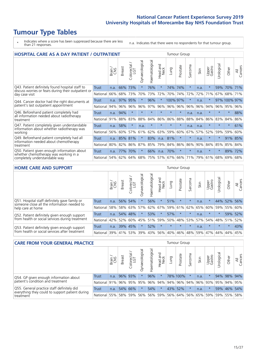# **Tumour Type Tables**

\* Indicates where a score has been suppressed because there are less than 21 responses.

n.a. Indicates that there were no respondents for that tumour group.

| <b>HOSPITAL CARE AS A DAY PATIENT / OUTPATIENT</b>                                                     |              |       |               |                                                 |                |                |                         |          | <b>Tumour Group</b> |                      |      |                 |            |              |                |
|--------------------------------------------------------------------------------------------------------|--------------|-------|---------------|-------------------------------------------------|----------------|----------------|-------------------------|----------|---------------------|----------------------|------|-----------------|------------|--------------|----------------|
|                                                                                                        |              | Brain | <b>Breast</b> | $\overline{\phantom{0}}$<br>Colorectal /<br>LGT | Gynaecological | Haematological | ead and<br>Neck<br>Head | Lung     | Prostate            | arcoma<br>$\sqrt{ }$ | Skin | Upper<br>Gastro | Urological | Other        | All<br>Cancers |
| Q43. Patient definitely found hospital staff to<br>discuss worries or fears during their outpatient or | <b>Trust</b> | n.a.  | 66%           | 73%                                             | $\star$        | 76%            | $\star$                 | 74%      | 74%                 | $\star$              | n.a. | $\star$         | 59%        | 70%          | 71%            |
| day case visit                                                                                         | National     | 66%   | 68%           | 73%                                             | 70%            | 73%            | 72%                     | 70%      | 74%                 | 72%                  | 72%  | 71%             | 67%        | 68%          | 71%            |
| Q44. Cancer doctor had the right documents at                                                          | Trust        | n.a.  | 97%           | 95%                                             |                | 96%            | $\star$                 | 100% 97% |                     | $\star$              | n.a. |                 |            | 97% 100% 97% |                |
| patient's last outpatient appointment                                                                  | National     | 94%   | 96%           | 96%                                             | 96%            | 97%            | 96%                     | 96%      | 96%                 | 96%                  | 96%  | 94%             | 96%        | 95%          | 96%            |
| Q46. Beforehand patient completely had<br>all information needed about radiotherapy                    | Trust        | n.a.  | 94%           | $\star$                                         | $\star$        | $\star$        | $\star$                 | $\star$  | $\star$             | n.a.                 | n.a. | $\star$         | $\star$    | $\star$      | 88%            |
| treatment                                                                                              | National     | 91%   | 88%           | 83%                                             | 88%            | 84%            | 86%                     | 86%      | 88%                 | 88%                  | 84%  | 86%             | 83%        | 84%          | 86%            |
| Q47. Patient completely given understandable                                                           | Trust        | n.a.  | 58%           | $\star$                                         | n.a.           | $\star$        | $\star$                 | $\star$  | $\star$             | n.a.                 | n.a. | $\star$         | $\star$    | $\ast$       | 61%            |
| information about whether radiotherapy was<br>working                                                  | National     | 56%   | 60%           | 57%                                             | 61%            | 62%            | 63%                     | 59%      | 60%                 | 67%                  | 57%  | 52%             | 59%        | 59%          | 60%            |
| Q49. Beforehand patient completely had all                                                             | <b>Trust</b> | n.a.  | 85%           | 81%                                             | $\star$        | 83%            | n.a.                    | 81%      | $\star$             | $\star$              | n.a. | $\star$         | $^\star$   | 91%          | 85%            |
| information needed about chemotherapy<br>treatment                                                     | National     | 80%   | 82%           | 86%                                             | 87%            | 85%            | 79%                     | 84%      | 86%                 | 86%                  | 90%  | 84%             | 85%        | 85%          | 84%            |
| Q50. Patient given enough information about                                                            | Trust        | n.a.  | 77%           | 70%                                             | $\star$        | 66%            | n.a.                    | 70%      | $\star$             | $\star$              | n.a. | $\star$         | $\star$    | 89%          | 72%            |
| whether chemotherapy was working in a<br>National<br>completely understandable way                     |              | 54%   | 62%           | 64%                                             | 68%            | 75%            |                         | 57% 67%  | 66%                 | 71%                  | 79%  | 61%             | 68%        | 69%          | 68%            |

#### **HOME CARE AND SUPPORT** Tumour Group

|                                                                                              |                 | Brain | <b>Breast</b> | Colorectal<br>LGT | $\overline{\sigma}$<br>Gynaecologic | ত<br>Haematologic | ad and<br>Neck<br>Head | Lung            | Prostate | Sarcoma | Skin    | Upper<br>Gastro | rological | Other   | All<br>Cancers |
|----------------------------------------------------------------------------------------------|-----------------|-------|---------------|-------------------|-------------------------------------|-------------------|------------------------|-----------------|----------|---------|---------|-----------------|-----------|---------|----------------|
| Q51. Hospital staff definitely gave family or<br>someone close all the information needed to | <b>Trust</b>    | n.a.  | 56%           | 54%               | $\star$                             | 56%               | $\star$                | 51%             | $\star$  | $\star$ | n.a.    | $\star$         | 44%       | 52%     | 56%            |
| help care at home                                                                            | National        | 58%   | 58%           | 63%               | 57%                                 | 62%               |                        | 67%   59%   61% |          |         | 62% 65% | 60%             | 59%       | 55%     | 60%            |
| Q52. Patient definitely given enough support                                                 | Trust           | n.a.  | 54% 48%       |                   |                                     | 53%               | $\star$                | 57%             | $\star$  | $\star$ | n.a.    | $\star$         | $\star$   | 59%     | 52%            |
| from health or social services during treatment                                              | National        | 42%   | 52%           | 60%               | 45%                                 | $ 51\% $          | 59%                    | 50%             | 48%      | 53%     | 57%     |                 | 54% 48%   | 51%     | 52%            |
| Q53. Patient definitely given enough support                                                 | Trust           | n.a.  | 39%           | 45%               |                                     | 52%               | $\star$                | $\star$         | $\star$  | $\star$ | n.a.    | $\star$         | $\star$   | $\star$ | 43%            |
| from health or social services after treatment                                               | <b>National</b> | 39%   | 41% 53%       |                   | 39%                                 | $ 43\% $          | 56%                    | 40%             | 46%      | 48%     | 59%     | 47%             | 44%       | 44%     | 45%            |

| <b>CARE FROM YOUR GENERAL PRACTICE</b>                                                        |                                            |        |               |                        |                |                |                  |             | <b>Tumour Group</b>                     |         |      |                 |                       |             |                |
|-----------------------------------------------------------------------------------------------|--------------------------------------------|--------|---------------|------------------------|----------------|----------------|------------------|-------------|-----------------------------------------|---------|------|-----------------|-----------------------|-------------|----------------|
|                                                                                               |                                            | Brain, | <b>Breast</b> | ╮<br>Colorectal<br>LGT | Gynaecological | Haematological | Head and<br>Neck | Lung        | Prostate                                | Sarcoma | Skin | Upper<br>Gastro | $\sigma$<br>Urologica | Other       | All<br>Cancers |
| Q54. GP given enough information about                                                        | Trust                                      | n.a.   |               | 96% 93%                |                | 96%            | $\star$          |             | 78% 100%                                |         | n.a. |                 |                       | 94% 98% 94% |                |
| patient's condition and treatment                                                             | National 91%                               |        |               |                        | 96% 95% 95%    |                |                  |             | 96% 94% 94% 96% 94% 96% 93% 95% 94% 95% |         |      |                 |                       |             |                |
| Q55. General practice staff definitely did<br>everything they could to support patient during | 54%<br>54% 66%<br>$\star$<br>Trust<br>n.a. |        | 43% 52%       |                        | n.a.           |                |                  | 59% 46% 54% |                                         |         |      |                 |                       |             |                |
| treatment                                                                                     | National 55%                               |        |               |                        | 58% 59% 56%    |                |                  |             | 56% 59% 56% 64% 56% 65% 59%             |         |      |                 |                       | 59% 55% 58% |                |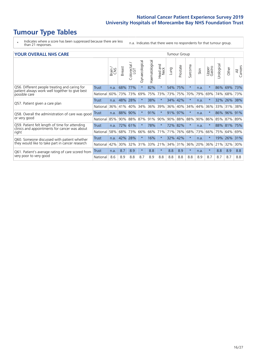# **Tumour Type Tables**

\* Indicates where a score has been suppressed because there are less than 21 responses.

n.a. Indicates that there were no respondents for that tumour group.

| <b>YOUR OVERALL NHS CARE</b>                                    |                                                                                          |         |               |                          |                |                |                                |      | <b>Tumour Group</b> |                      |      |                 |            |         |                |
|-----------------------------------------------------------------|------------------------------------------------------------------------------------------|---------|---------------|--------------------------|----------------|----------------|--------------------------------|------|---------------------|----------------------|------|-----------------|------------|---------|----------------|
|                                                                 |                                                                                          | Brain   | <b>Breast</b> | ╮<br>Colorectal /<br>LGT | Gynaecological | Haematological | <b>Bad and</b><br>Neck<br>Head | Lung | Prostate            | arcoma<br>$\sqrt{ }$ | Skin | Upper<br>Gastro | Urological | Other   | All<br>Cancers |
| Q56. Different people treating and caring for                   | <b>Trust</b>                                                                             | n.a.    | 68%           | 77%                      | $\star$        | 82%            | $\star$                        | 54%  | 75%                 | $\star$              | n.a. | $\star$         | 86%        | 69%     | 73%            |
| patient always work well together to give best<br>possible care | National                                                                                 | 60%     | 73%           | 73%                      | 69%            | 75%            | 73%                            | 73%  | 75%                 | 70%                  | 79%  | 69%             | 74%        | 68%     | 73%            |
|                                                                 | Trust                                                                                    | n.a.    | 48%           | 28%                      |                | 38%            | $\star$                        |      | 34% 42%             | $\star$              | n.a. |                 | 32%        | 26%     | 38%            |
| Q57. Patient given a care plan                                  | National                                                                                 | 36%     | 41%           | 40%                      | 34%            | 36%            | 39%                            | 36%  | 40%                 | 34%                  | 44%  | 36%             | 33%        | 31%     | 38%            |
| Q58. Overall the administration of care was good                | Trust                                                                                    | n.a.    | 88%           | 90%                      | $\star$        | 91%            | $\star$                        | 91%  | 97%                 | $\star$              | n.a. | $^\star$        | 86%        | 96%     | 91%            |
| or very good                                                    | National                                                                                 | 85%     | 90%           | 88%                      | 87%            | 91%            | 90%                            | 90%  | 88%                 | 88%                  | 90%  | 86%             | 85%        | 87%     | 89%            |
| Q59. Patient felt length of time for attending                  | Trust                                                                                    | n.a.    | 72%           | 61%                      |                | 78%            | $^\star$                       | 72%  | 82%                 | $\star$              | n.a. |                 |            | 88% 81% | 75%            |
| clinics and appointments for cancer was about<br>right          | National                                                                                 | 58%     | 68%           | 73%                      | 66%            | 66%            | 71%                            |      | 71% 76%             | 68%                  | 73%  | 66%             |            | 75% 64% | 69%            |
| Q60. Someone discussed with patient whether                     | 16%<br>$\ast$<br>42%<br>28%<br>32%<br>42%<br>$\star$<br>$\star$<br>Trust<br>n.a.<br>n.a. | $\star$ | 19%           | 26%                      | 31%            |                |                                |      |                     |                      |      |                 |            |         |                |
| they would like to take part in cancer research                 | National                                                                                 | 42%     | 30%           | 32%                      | 31%            | 33%            | 21%                            | 34%  | 31%                 | 36%                  | 20%  | 36%             | 21%        | 32%     | 30%            |
| Q61. Patient's average rating of care scored from               | <b>Trust</b>                                                                             | n.a.    | 8.7           | 8.9                      | $\star$        | 8.8            | $\star$                        | 8.8  | 8.9                 | $\star$              | n.a. | $\star$         | 8.8        | 8.9     | 8.8            |
| very poor to very good                                          | National                                                                                 | 8.6     | 8.9           | 8.8                      | 8.7            | 8.9            | 8.8                            | 8.8  | 8.8                 | 8.8                  | 8.9  | 8.7             | 8.7        | 8.7     | 8.8            |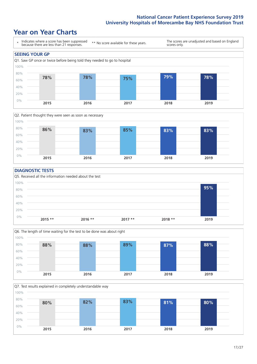### **Year on Year Charts**





#### **DIAGNOSTIC TESTS**





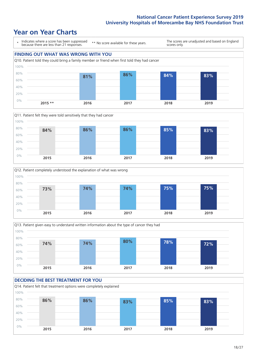







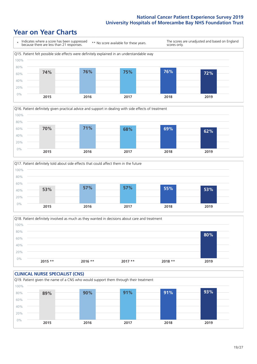





Q18. Patient definitely involved as much as they wanted in decisions about care and treatment  $0%$ 20% 40% 60% 80% 100% **2015 \*\* 2016 \*\* 2017 \*\* 2018 \*\* 2019 80%**

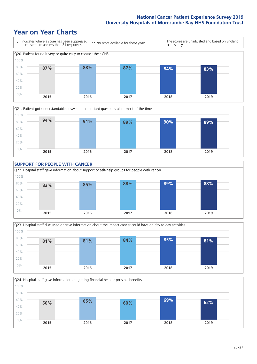









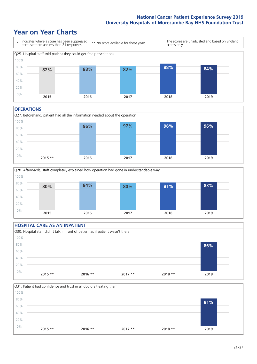### **Year on Year Charts**



#### **OPERATIONS**





### **HOSPITAL CARE AS AN INPATIENT** Q30. Hospital staff didn't talk in front of patient as if patient wasn't there 0% 20% 40% 60% 80% 100% **2015 \*\* 2016 \*\* 2017 \*\* 2018 \*\* 2019 86%**

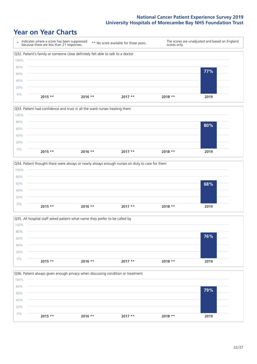







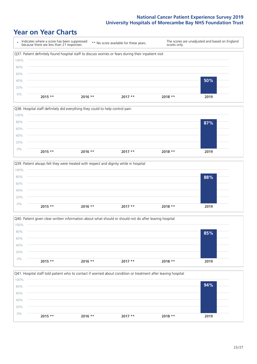|       | Indicates where a score has been suppressed<br>because there are less than 21 responses.              |           | ** No score available for these years. | scores only. | The scores are unadjusted and based on England |
|-------|-------------------------------------------------------------------------------------------------------|-----------|----------------------------------------|--------------|------------------------------------------------|
|       | Q37. Patient definitely found hospital staff to discuss worries or fears during their inpatient visit |           |                                        |              |                                                |
| 100%  |                                                                                                       |           |                                        |              |                                                |
| 80%   |                                                                                                       |           |                                        |              |                                                |
| 60%   |                                                                                                       |           |                                        |              |                                                |
| 40%   |                                                                                                       |           |                                        |              | 50%                                            |
| 20%   |                                                                                                       |           |                                        |              |                                                |
| $0\%$ | $2015$ **                                                                                             | $2016$ ** | $2017**$                               | $2018**$     | 2019                                           |







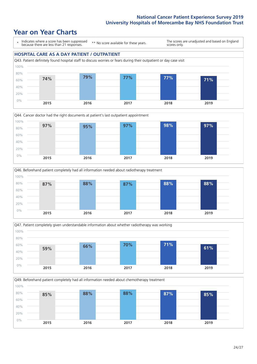### **Year on Year Charts**

\* Indicates where a score has been suppressed because there are less than 21 responses. \*\* No score available for these years. The scores are unadjusted and based on England scores only. **HOSPITAL CARE AS A DAY PATIENT / OUTPATIENT** Q43. Patient definitely found hospital staff to discuss worries or fears during their outpatient or day case visit 0% 20% 40% 60% 80% 100% **2015 2016 2017 2018 2019 74% 79% 77% 77% 71%**







Q49. Beforehand patient completely had all information needed about chemotherapy treatment 0% 20% 40% 60% 80% 100% **2015 2016 2017 2018 2019 85% 88% 88% 87% 85%**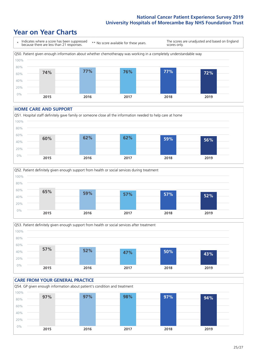### **Year on Year Charts**



#### **HOME CARE AND SUPPORT**







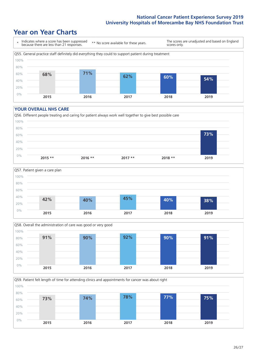### **Year on Year Charts**



#### **YOUR OVERALL NHS CARE**







Q59. Patient felt length of time for attending clinics and appointments for cancer was about right 80% 100%